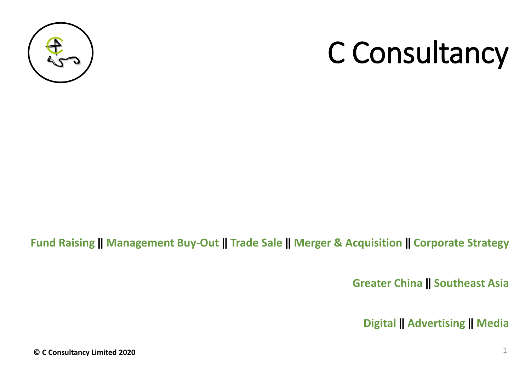

## C Consultancy

#### **Fund Raising ‖ Management Buy-Out ‖ Trade Sale ‖ Merger & Acquisition ‖ Corporate Strategy**

**Greater China ‖ Southeast Asia**

**Digital ‖ Advertising ‖ Media**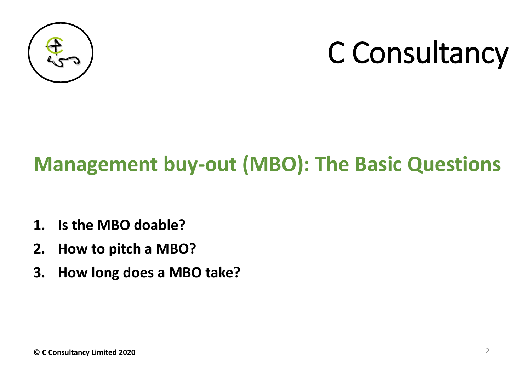

# C Consultancy

### **Management buy-out (MBO): The Basic Questions**

- **1. Is the MBO doable?**
- **2. How to pitch a MBO?**
- **3. How long does a MBO take?**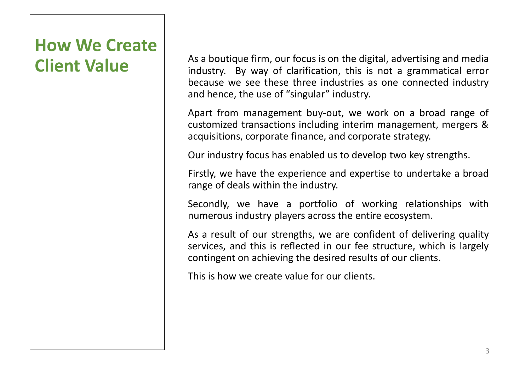### **How We Create Client Value**

As a boutique firm, our focus is on the digital, advertising and media industry. By way of clarification, this is not a grammatical error because we see these three industries as one connected industry and hence, the use of "singular" industry.

Apart from management buy-out, we work on a broad range of customized transactions including interim management, mergers & acquisitions, corporate finance, and corporate strategy.

Our industry focus has enabled us to develop two key strengths.

Firstly, we have the experience and expertise to undertake a broad range of deals within the industry.

Secondly, we have a portfolio of working relationships with numerous industry players across the entire ecosystem.

As a result of our strengths, we are confident of delivering quality services, and this is reflected in our fee structure, which is largely contingent on achieving the desired results of our clients.

This is how we create value for our clients.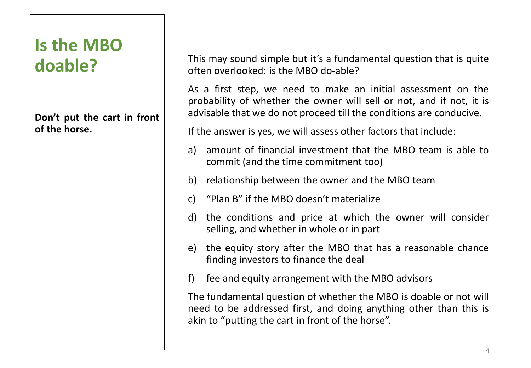### **Is the MBO doable?**

**Don't put the cart in front of the horse.**

This may sound simple but it's a fundamental question that is quite often overlooked: is the MBO do-able?

As a first step, we need to make an initial assessment on the probability of whether the owner will sell or not, and if not, it is advisable that we do not proceed till the conditions are conducive.

If the answer is yes, we will assess other factors that include:

- a) amount of financial investment that the MBO team is able to commit (and the time commitment too)
- b) relationship between the owner and the MBO team
- c) "Plan B" if the MBO doesn't materialize
- d) the conditions and price at which the owner will consider selling, and whether in whole or in part
- e) the equity story after the MBO that has a reasonable chance finding investors to finance the deal
- f) fee and equity arrangement with the MBO advisors

The fundamental question of whether the MBO is doable or not will need to be addressed first, and doing anything other than this is akin to "putting the cart in front of the horse".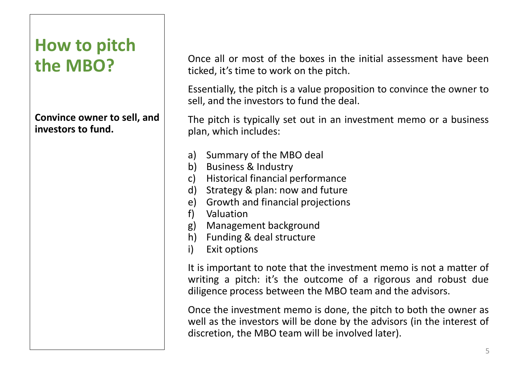### **How to pitch the MBO?**

#### **Convince owner to sell, and investors to fund.**

Once all or most of the boxes in the initial assessment have been ticked, it's time to work on the pitch.

Essentially, the pitch is a value proposition to convince the owner to sell, and the investors to fund the deal.

The pitch is typically set out in an investment memo or a business plan, which includes:

- a) Summary of the MBO deal
- b) Business & Industry
- c) Historical financial performance
- d) Strategy & plan: now and future
- e) Growth and financial projections
- f) Valuation
- g) Management background
- h) Funding & deal structure
- i) Exit options

It is important to note that the investment memo is not a matter of writing a pitch: it's the outcome of a rigorous and robust due diligence process between the MBO team and the advisors.

Once the investment memo is done, the pitch to both the owner as well as the investors will be done by the advisors (in the interest of discretion, the MBO team will be involved later).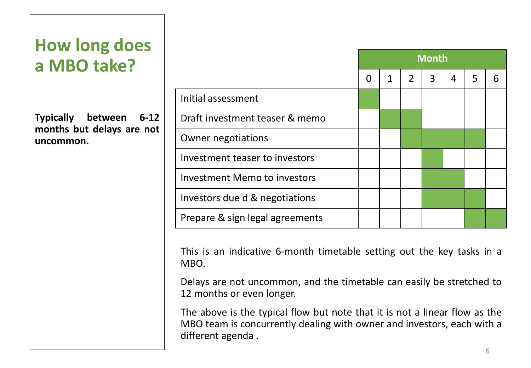### **How long does a MBO take?**

**Typically between 6-12 months but delays are not uncommon.**

|                                     | <b>Month</b> |   |                |   |                |   |   |
|-------------------------------------|--------------|---|----------------|---|----------------|---|---|
|                                     | 0            | 1 | $\overline{2}$ | 3 | $\overline{4}$ | 5 | 6 |
| Initial assessment                  |              |   |                |   |                |   |   |
| Draft investment teaser & memo      |              |   |                |   |                |   |   |
| Owner negotiations                  |              |   |                |   |                |   |   |
| Investment teaser to investors      |              |   |                |   |                |   |   |
| <b>Investment Memo to investors</b> |              |   |                |   |                |   |   |
| Investors due d & negotiations      |              |   |                |   |                |   |   |
| Prepare & sign legal agreements     |              |   |                |   |                |   |   |

This is an indicative 6-month timetable setting out the key tasks in a MBO.

Delays are not uncommon, and the timetable can easily be stretched to 12 months or even longer.

The above is the typical flow but note that it is not a linear flow as the MBO team is concurrently dealing with owner and investors, each with a different agenda .